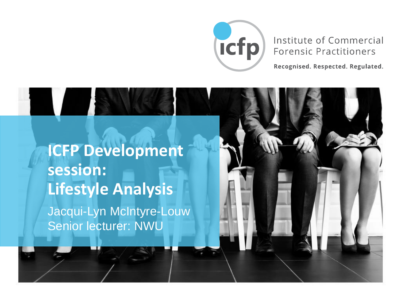

#### Institute of Commercial **Forensic Practitioners**

Recognised. Respected. Regulated.

**ICFP Development session: Lifestyle Analysis**  Jacqui-Lyn McIntyre-Louw Senior lecturer: NWU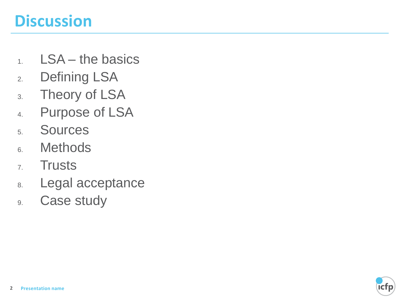# **Discussion**

- 1. LSA the basics
- 2. Defining LSA
- 3. Theory of LSA
- 4. Purpose of LSA
- 5. Sources
- 6. Methods
- 7. Trusts
- 8. Legal acceptance
- 9. Case study

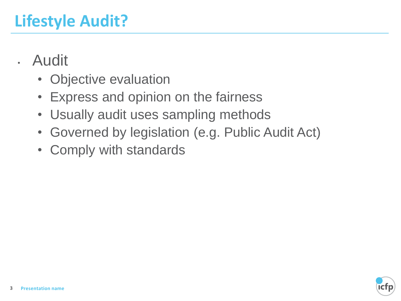- Audit
	- Objective evaluation
	- Express and opinion on the fairness
	- Usually audit uses sampling methods
	- Governed by legislation (e.g. Public Audit Act)
	- Comply with standards

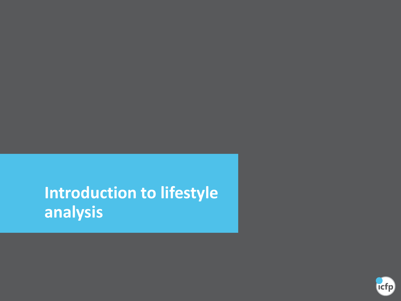# **Introduction to lifestyle analysis**

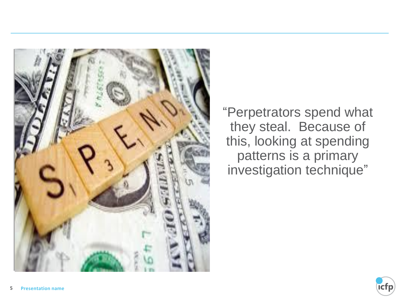

"Perpetrators spend what they steal. Because of this, looking at spending patterns is a primary investigation technique"

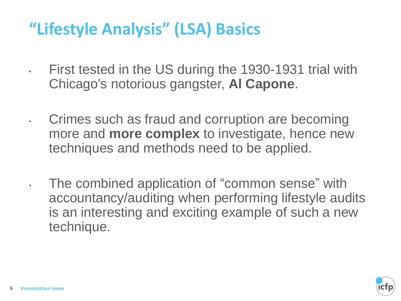# **"Lifestyle Analysis" (LSA) Basics**

• First tested in the US during the 1930-1931 trial with Chicago's notorious gangster, **Al Capone**.

• Crimes such as fraud and corruption are becoming more and **more complex** to investigate, hence new techniques and methods need to be applied.

• The combined application of "common sense" with accountancy/auditing when performing lifestyle audits is an interesting and exciting example of such a new technique.

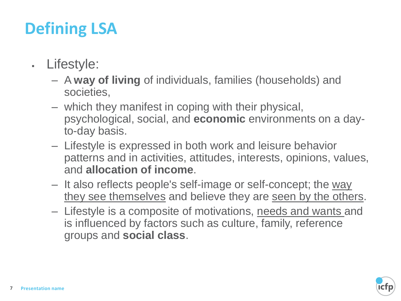# **Defining LSA**

- Lifestyle:
	- A **way of living** of individuals, families (households) and societies,
	- which they manifest in coping with their physical, psychological, social, and **economic** environments on a dayto-day basis.
	- Lifestyle is expressed in both work and leisure behavior patterns and in activities, attitudes, interests, opinions, values, and **allocation of income**.
	- It also reflects people's self-image or self-concept; the way they see themselves and believe they are seen by the others.
	- Lifestyle is a composite of motivations, needs and wants and is influenced by factors such as culture, family, reference groups and **social class**.

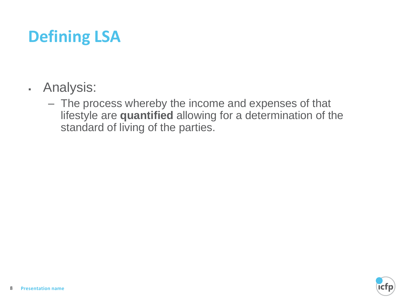# **Defining LSA**

- Analysis:
	- The process whereby the income and expenses of that lifestyle are **quantified** allowing for a determination of the standard of living of the parties.

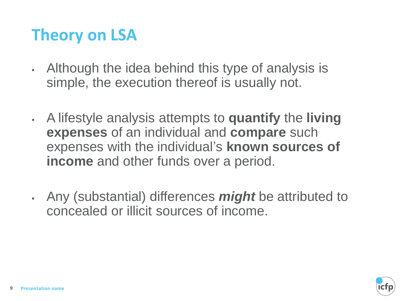# **Theory on LSA**

- Although the idea behind this type of analysis is simple, the execution thereof is usually not.
- A lifestyle analysis attempts to **quantify** the **living expenses** of an individual and **compare** such expenses with the individual's **known sources of income** and other funds over a period.
- Any (substantial) differences *might* be attributed to concealed or illicit sources of income.

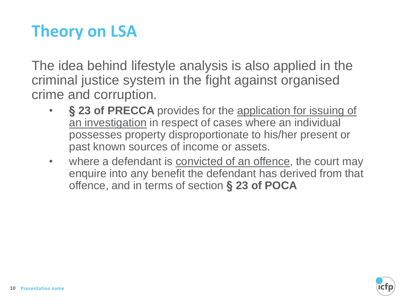# **Theory on LSA**

The idea behind lifestyle analysis is also applied in the criminal justice system in the fight against organised crime and corruption.

- **§ 23 of PRECCA** provides for the application for issuing of an investigation in respect of cases where an individual possesses property disproportionate to his/her present or past known sources of income or assets.
- where a defendant is **convicted of an offence**, the court may enquire into any benefit the defendant has derived from that offence, and in terms of section **§ 23 of POCA**

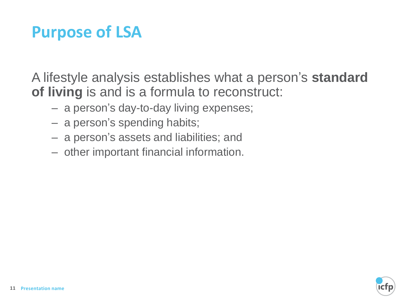# **Purpose of LSA**

A lifestyle analysis establishes what a person's **standard of living** is and is a formula to reconstruct:

- a person's day-to-day living expenses;
- a person's spending habits;
- a person's assets and liabilities; and
- other important financial information.

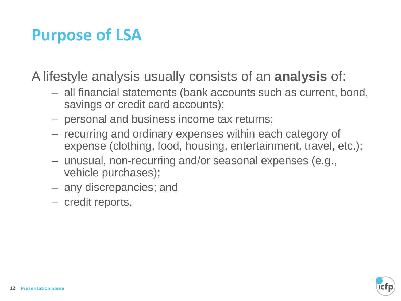## **Purpose of LSA**

A lifestyle analysis usually consists of an **analysis** of:

- all financial statements (bank accounts such as current, bond, savings or credit card accounts);
- personal and business income tax returns;
- recurring and ordinary expenses within each category of expense (clothing, food, housing, entertainment, travel, etc.);
- unusual, non-recurring and/or seasonal expenses (e.g., vehicle purchases);
- any discrepancies; and
- credit reports.

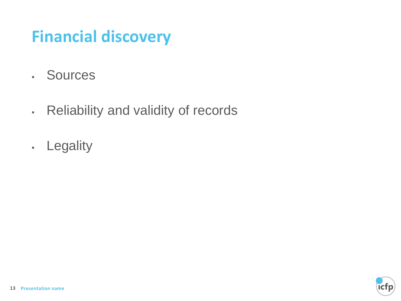# **Financial discovery**

- Sources
- Reliability and validity of records
- Legality

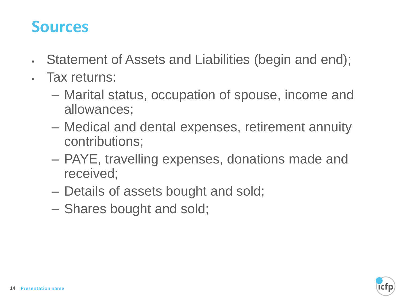#### **Sources**

- Statement of Assets and Liabilities (begin and end);
- Tax returns:
	- Marital status, occupation of spouse, income and allowances;
	- Medical and dental expenses, retirement annuity contributions;
	- PAYE, travelling expenses, donations made and received;
	- Details of assets bought and sold;
	- Shares bought and sold;

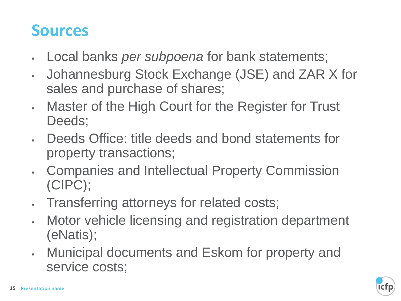## **Sources**

- Local banks *per subpoena* for bank statements;
- Johannesburg Stock Exchange (JSE) and ZAR X for sales and purchase of shares;
- Master of the High Court for the Register for Trust Deeds;
- Deeds Office: title deeds and bond statements for property transactions;
- **Companies and Intellectual Property Commission** (CIPC);
- **Transferring attorneys for related costs;**
- Motor vehicle licensing and registration department (eNatis);
- Municipal documents and Eskom for property and service costs;

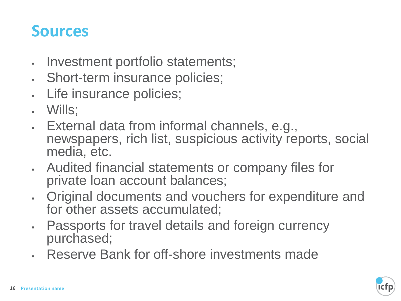#### **Sources**

- Investment portfolio statements;
- . Short-term insurance policies;
- . Life insurance policies;
- Wills;
- External data from informal channels, e.g., newspapers, rich list, suspicious activity reports, social media, etc.
- Audited financial statements or company files for private loan account balances;
- Original documents and vouchers for expenditure and for other assets accumulated;
- . Passports for travel details and foreign currency purchased;
- . Reserve Bank for off-shore investments made

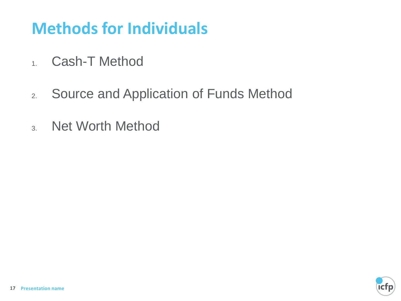# **Methods for Individuals**

- 1. Cash-T Method
- 2. Source and Application of Funds Method
- 3. Net Worth Method

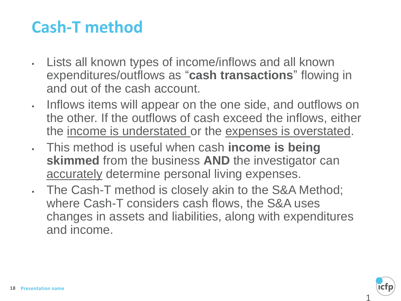## **Cash-T method**

- Lists all known types of income/inflows and all known expenditures/outflows as "**cash transactions**" flowing in and out of the cash account.
- Inflows items will appear on the one side, and outflows on the other. If the outflows of cash exceed the inflows, either the income is understated or the expenses is overstated.
- This method is useful when cash **income is being skimmed** from the business **AND** the investigator can accurately determine personal living expenses.
- The Cash-T method is closely akin to the S&A Method; where Cash-T considers cash flows, the S&A uses changes in assets and liabilities, along with expenditures and income.

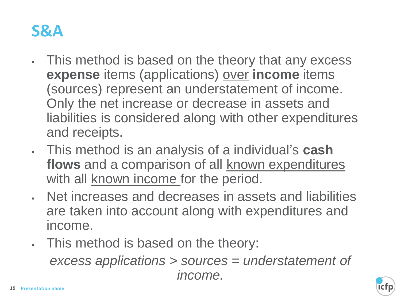

- This method is based on the theory that any excess **expense** items (applications) over **income** items (sources) represent an understatement of income. Only the net increase or decrease in assets and liabilities is considered along with other expenditures and receipts.
- This method is an analysis of a individual's **cash**  flows and a comparison of all known expenditures with all known income for the period.
- Net increases and decreases in assets and liabilities are taken into account along with expenditures and income.
- . This method is based on the theory:

*excess applications > sources = understatement of income.* 

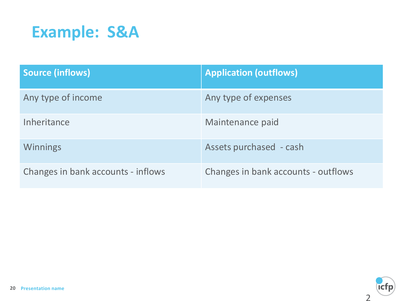

| <b>Source (inflows)</b>            | <b>Application (outflows)</b>       |
|------------------------------------|-------------------------------------|
| Any type of income                 | Any type of expenses                |
| <b>Inheritance</b>                 | Maintenance paid                    |
| <b>Winnings</b>                    | Assets purchased - cash             |
| Changes in bank accounts - inflows | Changes in bank accounts - outflows |

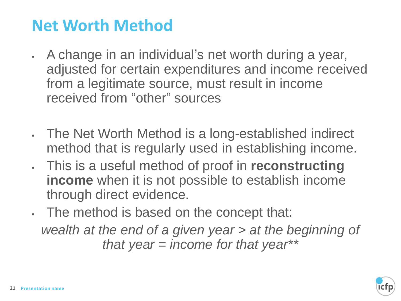## **Net Worth Method**

- A change in an individual's net worth during a year, adjusted for certain expenditures and income received from a legitimate source, must result in income received from "other" sources
- The Net Worth Method is a long-established indirect method that is regularly used in establishing income.
- This is a useful method of proof in **reconstructing income** when it is not possible to establish income through direct evidence.
- The method is based on the concept that: *wealth at the end of a given year > at the beginning of that year = income for that year\*\**

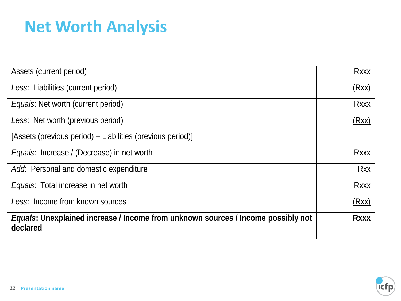# **Net Worth Analysis**

| Assets (current period)                                                                      | <b>Rxxx</b> |
|----------------------------------------------------------------------------------------------|-------------|
| Less: Liabilities (current period)                                                           | (Rxx)       |
| <i>Equals:</i> Net worth (current period)                                                    | <b>Rxxx</b> |
| Less: Net worth (previous period)                                                            | (Rxx)       |
| [Assets (previous period) – Liabilities (previous period)]                                   |             |
| Equals: Increase / (Decrease) in net worth                                                   | <b>Rxxx</b> |
| Add: Personal and domestic expenditure                                                       | <b>Rxx</b>  |
| Equals: Total increase in net worth                                                          | <b>Rxxx</b> |
| Less: Income from known sources                                                              | (Rxx)       |
| Equals: Unexplained increase / Income from unknown sources / Income possibly not<br>declared | <b>Rxxx</b> |

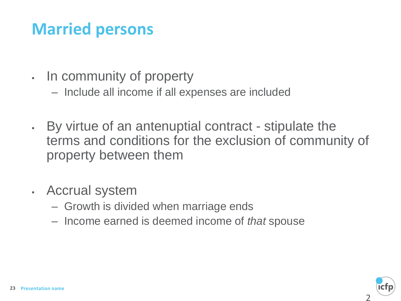# **Married persons**

- . In community of property
	- Include all income if all expenses are included
- By virtue of an antenuptial contract stipulate the terms and conditions for the exclusion of community of property between them
- Accrual system
	- Growth is divided when marriage ends
	- Income earned is deemed income of *that* spouse

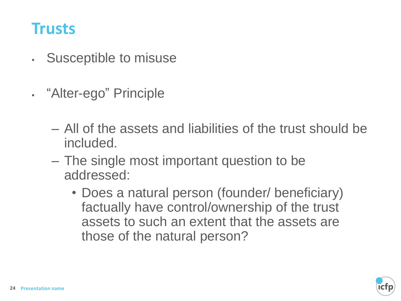#### **Trusts**

- Susceptible to misuse
- "Alter-ego" Principle
	- All of the assets and liabilities of the trust should be included.
	- The single most important question to be addressed:
		- Does a natural person (founder/ beneficiary) factually have control/ownership of the trust assets to such an extent that the assets are those of the natural person?

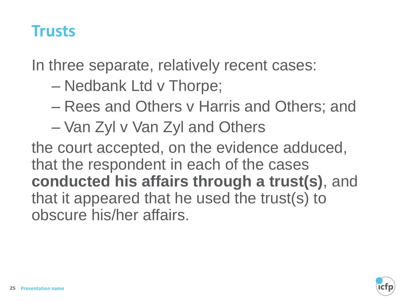#### **Trusts**

In three separate, relatively recent cases:

- Nedbank Ltd v Thorpe;
- Rees and Others v Harris and Others; and
- Van Zyl v Van Zyl and Others

the court accepted, on the evidence adduced, that the respondent in each of the cases **conducted his affairs through a trust(s)**, and that it appeared that he used the trust(s) to obscure his/her affairs.

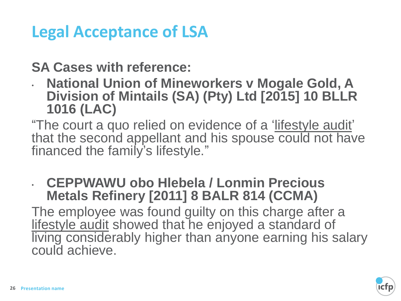# **Legal Acceptance of LSA**

**SA Cases with reference:**

• **National Union of Mineworkers v Mogale Gold, A Division of Mintails (SA) (Pty) Ltd [2015] 10 BLLR 1016 (LAC)** 

"The court a quo relied on evidence of a 'lifestyle audit' that the second appellant and his spouse could not have financed the family's lifestyle."

#### • **CEPPWAWU obo Hlebela / Lonmin Precious Metals Refinery [2011] 8 BALR 814 (CCMA)**

The employee was found guilty on this charge after a lifestyle audit showed that he enjoyed a standard of living considerably higher than anyone earning his salary could achieve.

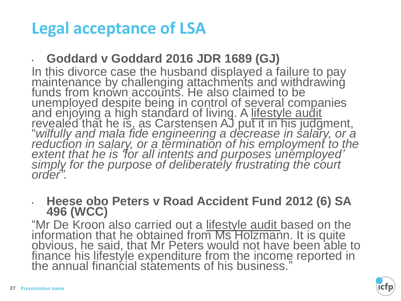# **Legal acceptance of LSA**

#### • **Goddard v Goddard 2016 JDR 1689 (GJ)**

In this divorce case the husband displayed a failure to pay maintenance by challenging attachments and withdrawing funds from known accounts. He also claimed to be unemployed despite being in control of several companies and enjoying a high standard of living. A lifestyle audit revealed that he is, as Carstensen AJ put it in his judgment, "*wilfully and mala fide engineering a decrease in salary, or a*  reduction in salary, or a termination of his employment to the *extent that he is 'for all intents and purposes unemployed' simply for the purpose of deliberately frustrating the court order".*

#### • **Heese obo Peters v Road Accident Fund 2012 (6) SA 496 (WCC)**

"Mr De Kroon also carried out a lifestyle audit based on the information that he obtained from Ms Holzmann. It is quite obvious, he said, that Mr Peters would not have been able to finance his lifestyle expenditure from the income reported in the annual financial statements of his business."

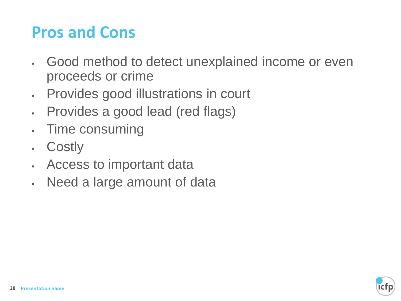# **Pros and Cons**

- Good method to detect unexplained income or even proceeds or crime
- Provides good illustrations in court
- Provides a good lead (red flags)
- Time consuming
- Costly
- . Access to important data
- . Need a large amount of data

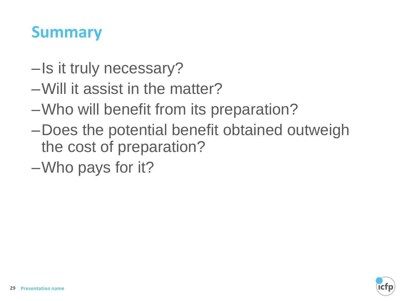## **Summary**

- –Is it truly necessary?
- –Will it assist in the matter?
- –Who will benefit from its preparation?
- –Does the potential benefit obtained outweigh the cost of preparation?
- –Who pays for it?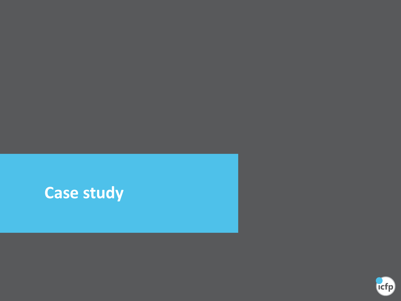# **Case study**

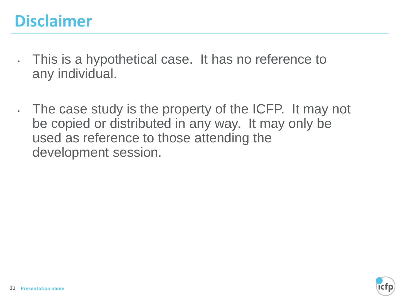# **Disclaimer**

- This is a hypothetical case. It has no reference to any individual.
- The case study is the property of the ICFP. It may not be copied or distributed in any way. It may only be used as reference to those attending the development session.

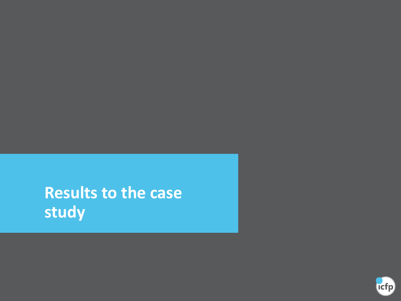**Results to the case study**

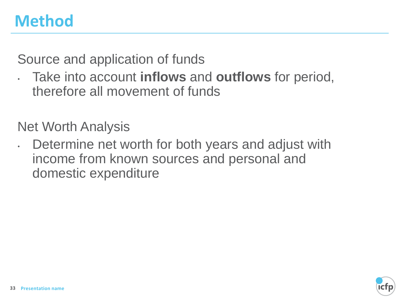## **Method**

Source and application of funds

• Take into account **inflows** and **outflows** for period, therefore all movement of funds

Net Worth Analysis

• Determine net worth for both years and adjust with income from known sources and personal and domestic expenditure

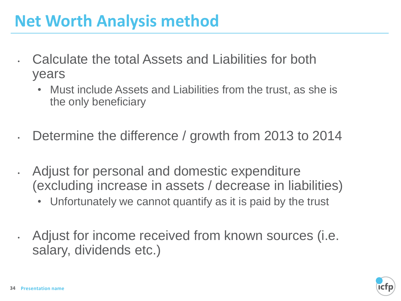## **Net Worth Analysis method**

- Calculate the total Assets and Liabilities for both years
	- Must include Assets and Liabilities from the trust, as she is the only beneficiary
- Determine the difference / growth from 2013 to 2014
- Adjust for personal and domestic expenditure (excluding increase in assets / decrease in liabilities)
	- Unfortunately we cannot quantify as it is paid by the trust
- Adjust for income received from known sources (i.e. salary, dividends etc.)

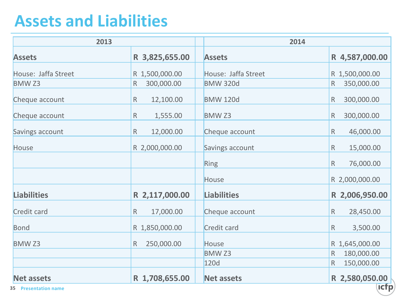## **Assets and Liabilities**

| 2013                        |                            | 2014                |                            |  |
|-----------------------------|----------------------------|---------------------|----------------------------|--|
| <b>Assets</b>               | R 3,825,655.00             | <b>Assets</b>       | R 4,587,000.00             |  |
| House: Jaffa Street         | R 1,500,000.00             | House: Jaffa Street | R 1,500,000.00             |  |
| <b>BMWZ3</b>                | 300,000.00<br>$\mathsf R$  | <b>BMW 320d</b>     | 350,000.00<br>$\mathsf R$  |  |
| Cheque account              | $\mathsf R$<br>12,100.00   | <b>BMW 120d</b>     | 300,000.00<br>R            |  |
| Cheque account              | 1,555.00<br>${\sf R}$      | <b>BMW Z3</b>       | 300,000.00<br>R            |  |
| Savings account             | ${\sf R}$<br>12,000.00     | Cheque account      | 46,000.00<br>$\mathsf{R}$  |  |
| House                       | R 2,000,000.00             | Savings account     | $\mathsf{R}$<br>15,000.00  |  |
|                             |                            | Ring                | 76,000.00<br>$\mathsf{R}$  |  |
|                             |                            | House               | R 2,000,000.00             |  |
| <b>Liabilities</b>          | R 2,117,000.00             | <b>Liabilities</b>  | R 2,006,950.00             |  |
| <b>Credit card</b>          | 17,000.00<br>${\sf R}$     | Cheque account      | 28,450.00<br>$\mathsf{R}$  |  |
| Bond                        | R 1,850,000.00             | Credit card         | 3,500.00<br>$\mathsf{R}$   |  |
| <b>BMW Z3</b>               | 250,000.00<br>$\mathsf{R}$ | <b>House</b>        | R 1,645,000.00             |  |
|                             |                            | <b>BMW Z3</b>       | 180,000.00<br>$\mathsf{R}$ |  |
|                             |                            | 120d                | 150,000.00                 |  |
| <b>Net assets</b>           | R 1,708,655.00             | <b>Net assets</b>   | R 2,580,050.00             |  |
| <b>35 Presentation name</b> |                            |                     | <b>Icfp</b>                |  |

**35 Presentation name**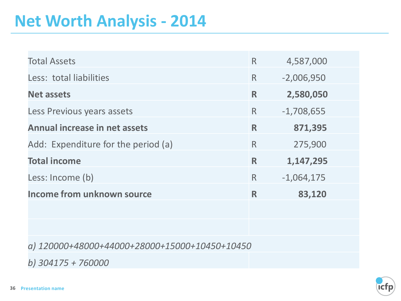#### **Net Worth Analysis - 2014**

| <b>Total Assets</b>                 | $\mathsf{R}$ | 4,587,000    |
|-------------------------------------|--------------|--------------|
| Less: total liabilities             | $\mathsf{R}$ | $-2,006,950$ |
| <b>Net assets</b>                   | R            | 2,580,050    |
| Less Previous years assets          | $\mathsf{R}$ | $-1,708,655$ |
| Annual increase in net assets       | R            | 871,395      |
| Add: Expenditure for the period (a) | $\mathsf{R}$ | 275,900      |
| <b>Total income</b>                 | R            | 1,147,295    |
| Less: Income (b)                    | $\mathsf{R}$ | $-1,064,175$ |
| <b>Income from unknown source</b>   | R            | 83,120       |

*a) 120000+48000+44000+28000+15000+10450+10450*

*b) 304175 + 760000*

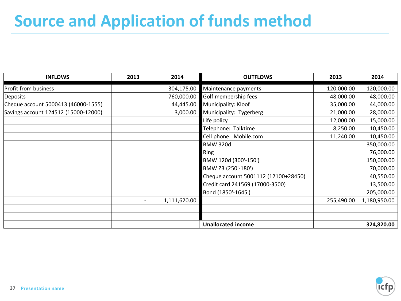# **Source and Application of funds method**

| <b>INFLOWS</b>                       | 2013 | 2014         | <b>OUTFLOWS</b>                      | 2013       | 2014         |
|--------------------------------------|------|--------------|--------------------------------------|------------|--------------|
| Profit from business                 |      | 304,175.00   | Maintenance payments                 | 120,000.00 | 120,000.00   |
| <b>Deposits</b>                      |      | 760,000.00   | Golf membership fees                 | 48,000.00  | 48,000.00    |
| Cheque account 5000413 (46000-1555)  |      | 44,445.00    | Municipality: Kloof                  | 35,000.00  | 44,000.00    |
| Savings account 124512 (15000-12000) |      | 3,000.00     | Municipality: Tygerberg              | 21,000.00  | 28,000.00    |
|                                      |      |              | Life policy                          | 12,000.00  | 15,000.00    |
|                                      |      |              | Telephone: Talktime                  | 8,250.00   | 10,450.00    |
|                                      |      |              | Cell phone: Mobile.com               | 11,240.00  | 10,450.00    |
|                                      |      |              | <b>BMW 320d</b>                      |            | 350,000.00   |
|                                      |      |              | Ring                                 |            | 76,000.00    |
|                                      |      |              | BMW 120d (300'-150')                 |            | 150,000.00   |
|                                      |      |              | BMW Z3 (250'-180')                   |            | 70,000.00    |
|                                      |      |              | Cheque account 5001112 (12100+28450) |            | 40,550.00    |
|                                      |      |              | Credit card 241569 (17000-3500)      |            | 13,500.00    |
|                                      |      |              | Bond (1850'-1645')                   |            | 205,000.00   |
|                                      |      | 1,111,620.00 |                                      | 255,490.00 | 1,180,950.00 |
|                                      |      |              |                                      |            |              |
|                                      |      |              |                                      |            |              |
|                                      |      |              | Unallocated income                   |            | 324,820.00   |